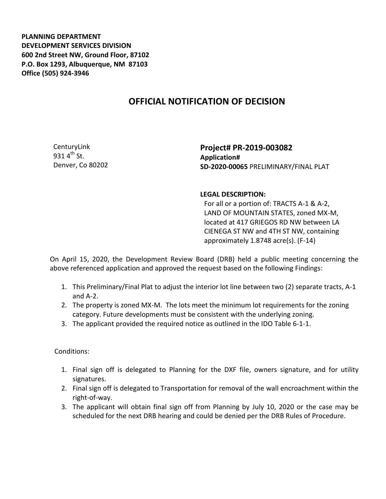**PLANNING DEPARTMENT DEVELOPMENT SERVICES DIVISION 600 2nd Street NW, Ground Floor, 87102 P.O. Box 1293, Albuquerque, NM 87103 Office (505) 924-3946** 

## **OFFICIAL NOTIFICATION OF DECISION**

CenturyLink 931  $4^{th}$  St. Denver, Co 80202

**Project# PR-2019-003082 Application# SD-2020-00065** PRELIMINARY/FINAL PLAT

## **LEGAL DESCRIPTION:**

For all or a portion of: TRACTS A-1 & A-2, LAND OF MOUNTAIN STATES, zoned MX-M, located at 417 GRIEGOS RD NW between LA CIENEGA ST NW and 4TH ST NW, containing approximately 1.8748 acre(s). (F-14)

On April 15, 2020, the Development Review Board (DRB) held a public meeting concerning the above referenced application and approved the request based on the following Findings:

- 1. This Preliminary/Final Plat to adjust the interior lot line between two (2) separate tracts, A-1 and A-2.
- 2. The property is zoned MX-M. The lots meet the minimum lot requirements for the zoning category. Future developments must be consistent with the underlying zoning.
- 3. The applicant provided the required notice as outlined in the IDO Table 6-1-1.

## Conditions:

- 1. Final sign off is delegated to Planning for the DXF file, owners signature, and for utility signatures.
- 2. Final sign off is delegated to Transportation for removal of the wall encroachment within the right-of-way.
- 3. The applicant will obtain final sign off from Planning by July 10, 2020 or the case may be scheduled for the next DRB hearing and could be denied per the DRB Rules of Procedure.